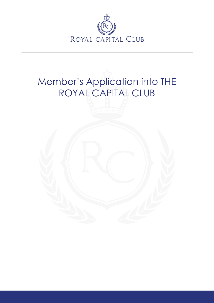

## Member's Application into THE ROYAL CAPITAL CLUB